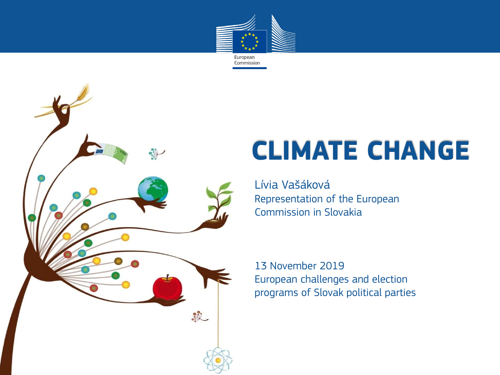



# **CLIMATE CHANGE**

Lívia Vašáková Representation of the European Commission in Slovakia

13 November 2019 European challenges and election programs of Slovak political parties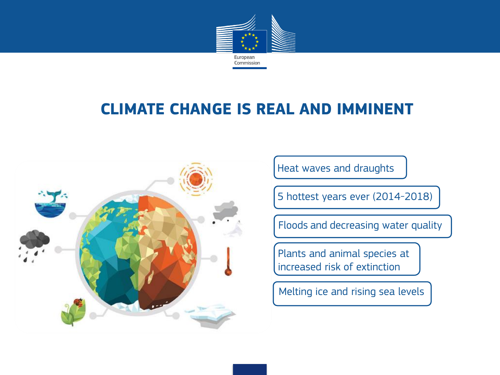

#### **CLIMATE CHANGE IS REAL AND IMMINENT**



Heat waves and draughts

5 hottest years ever (2014-2018)

Floods and decreasing water quality

Plants and animal species at increased risk of extinction

Melting ice and rising sea levels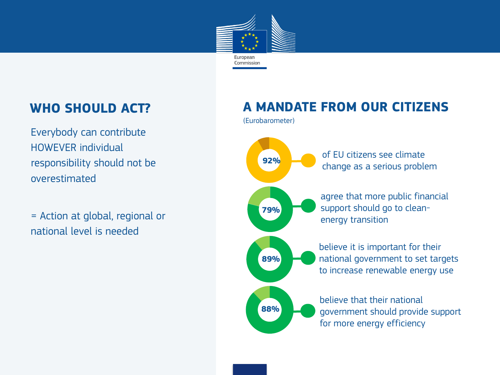

#### **WHO SHOULD ACT?**

Everybody can contribute HOWEVER individual responsibility should not be overestimated

= Action at global, regional or national level is needed

#### **A MANDATE FROM OUR CITIZENS**

(Eurobarometer)

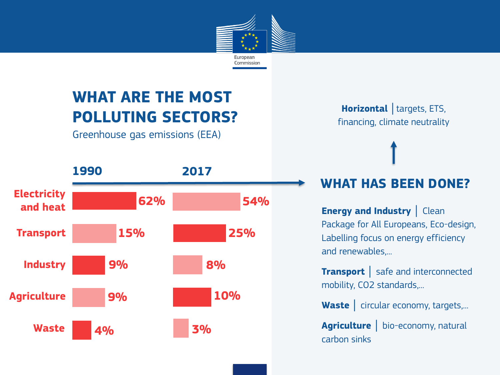

## **WHAT ARE THE MOST POLLUTING SECTORS?**

Greenhouse gas emissions (EEA)



**Horizontal** │targets, ETS, financing, climate neutrality

#### **WHAT HAS BEEN DONE?**

**Energy and Industry | Clean** Package for All Europeans, Eco-design, Labelling focus on energy efficiency and renewables,...

**Transport** │ safe and interconnected mobility, CO2 standards,...

Waste | circular economy, targets,...

**Agriculture** │ bio-economy, natural carbon sinks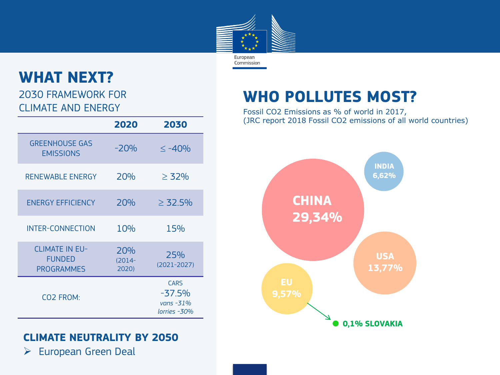

#### **WHAT NEXT?**

2030 FRAMEWORK FOR CLIMATE AND ENERGY

|                                                             | 2020                      | 2030                                                    |
|-------------------------------------------------------------|---------------------------|---------------------------------------------------------|
| <b>GREENHOUSE GAS</b><br><b>EMISSIONS</b>                   | $-20%$                    | $\leq -40%$                                             |
| <b>RENEWABLE ENERGY</b>                                     | 20%                       | $\geq 32\%$                                             |
| <b>ENERGY EFFICIENCY</b>                                    | 20%                       | $\geq$ 32.5%                                            |
| <b>INTER-CONNECTION</b>                                     | 10%                       | 15%                                                     |
| <b>CLIMATE IN EU-</b><br><b>FUNDED</b><br><b>PROGRAMMES</b> | 20%<br>$(2014 -$<br>2020) | 25%<br>$(2021 - 2027)$                                  |
| CO2 FROM:                                                   |                           | <b>CARS</b><br>$-37.5%$<br>vans $-31\%$<br>lorries -30% |

#### **CLIMATE NEUTRALITY BY 2050**

 $\triangleright$  European Green Deal

### **WHO POLLUTES MOST?**

Fossil CO2 Emissions as % of world in 2017, (JRC report 2018 Fossil CO2 emissions of all world countries)

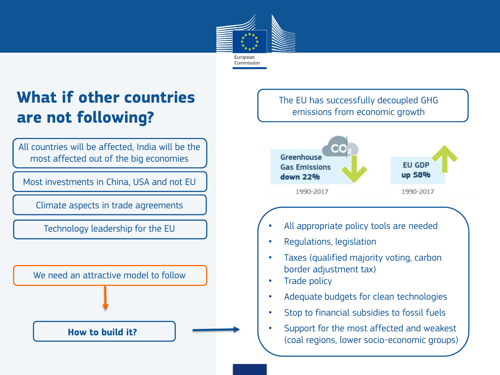

## **What if other countries are not following?**

All countries will be affected, India will be the most affected out of the big economies

Most investments in China, USA and not EU

Climate aspects in trade agreements

Technology leadership for the EU

We need an attractive model to follow

**How to build it?** 

The EU has successfully decoupled GHG emissions from economic growth



- All appropriate policy tools are needed
- Regulations, legislation
- Taxes (qualified majority voting, carbon border adjustment tax)
- Trade policy
- Adequate budgets for clean technologies
- Stop to financial subsidies to fossil fuels
- Support for the most affected and weakest (coal regions, lower socio-economic groups)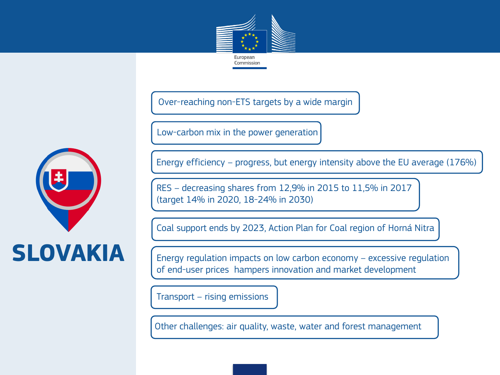

Over-reaching non-ETS targets by a wide margin

Low-carbon mix in the power generation



RES – decreasing shares from 12,9% in 2015 to 11,5% in 2017 (target 14% in 2020, 18-24% in 2030)

Coal support ends by 2023, Action Plan for Coal region of Horná Nitra

Energy regulation impacts on low carbon economy – excessive regulation of end-user prices hampers innovation and market development

Transport – rising emissions

Other challenges: air quality, waste, water and forest management